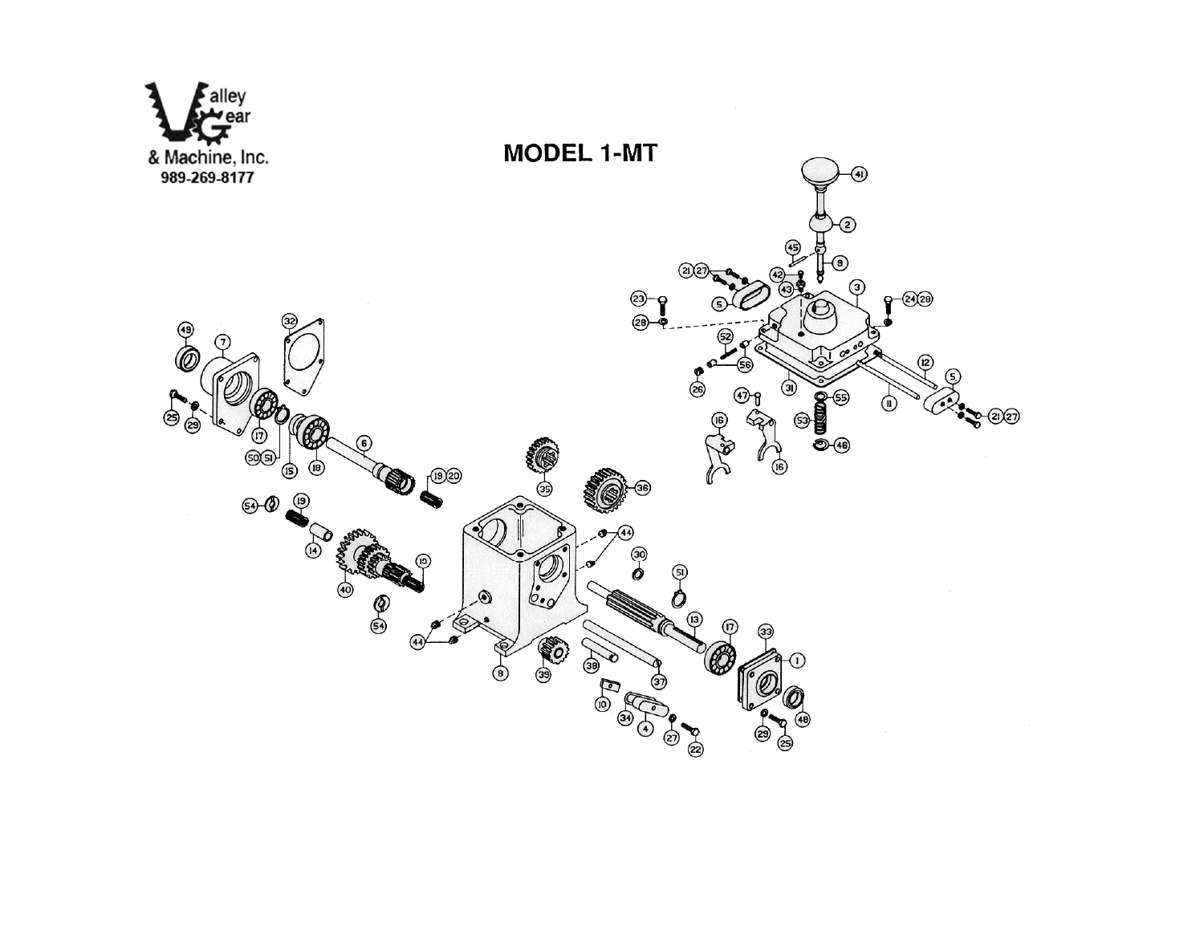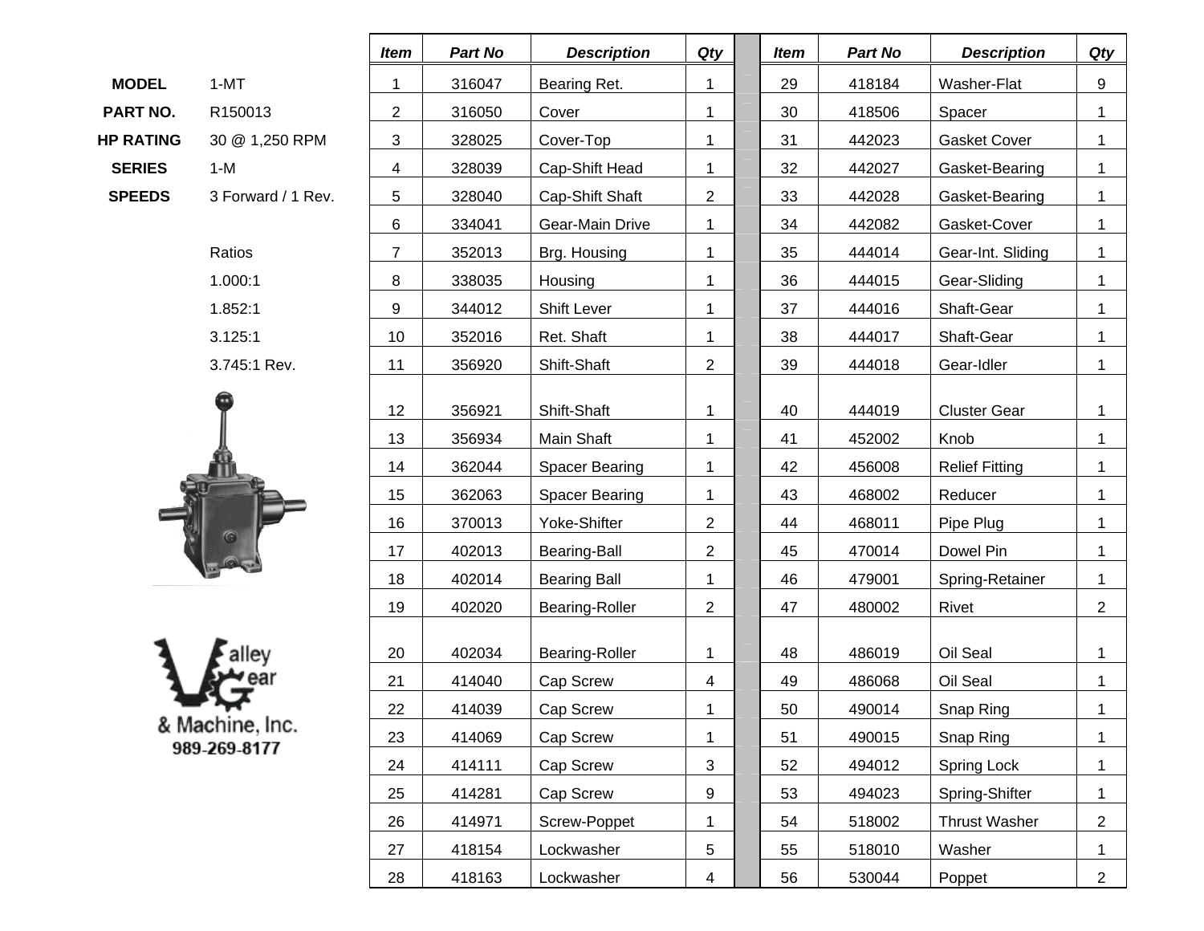|                  |                     | mem |  |
|------------------|---------------------|-----|--|
| <b>MODEL</b>     | 1-MT                |     |  |
| PART NO.         | R <sub>150013</sub> | 2   |  |
| <b>HP RATING</b> | 30 @ 1,250 RPM      | 3   |  |
| <b>SERIES</b>    | 1-M                 |     |  |
| <b>SPEEDS</b>    | 3 Forward / 1 Rev.  | 5   |  |
|                  |                     |     |  |





|                  |                    | Item                                             | Part No | <b>Description</b>    | Qty            | <b>Item</b>    | Part No      | <b>Description</b>    | <b>Qty</b>     |  |
|------------------|--------------------|--------------------------------------------------|---------|-----------------------|----------------|----------------|--------------|-----------------------|----------------|--|
| <b>MODEL</b>     | $1-MT$             | 1                                                | 316047  | Bearing Ret.          | 1              | 29             | 418184       | Washer-Flat           | 9              |  |
| PART NO.         | R150013            | $\overline{c}$                                   | 316050  | Cover                 | 1              | 30             | 418506       | Spacer                | 1              |  |
| <b>HP RATING</b> | 30 @ 1,250 RPM     | 3                                                | 328025  | Cover-Top             | 1              | 31             | 442023       | <b>Gasket Cover</b>   | $\mathbf 1$    |  |
| <b>SERIES</b>    | $1-M$              | 4                                                | 328039  | Cap-Shift Head        | 1              | 32             | 442027       | Gasket-Bearing        | $\mathbf{1}$   |  |
| <b>SPEEDS</b>    | 3 Forward / 1 Rev. | 5<br>328040<br>Cap-Shift Shaft<br>$\overline{2}$ |         | 33                    | 442028         | Gasket-Bearing | $\mathbf{1}$ |                       |                |  |
|                  |                    | 6                                                | 334041  | Gear-Main Drive       | 1              | 34             | 442082       | Gasket-Cover          | $\mathbf{1}$   |  |
|                  | Ratios             | $\overline{7}$                                   | 352013  | Brg. Housing          | 1              | 35             | 444014       | Gear-Int. Sliding     | $\mathbf{1}$   |  |
|                  | 1.000:1            | 8                                                | 338035  | Housing               | 1              | 36             | 444015       | Gear-Sliding          | $\mathbf{1}$   |  |
|                  | 1.852:1            | 9                                                | 344012  | Shift Lever           | 1              | 37             | 444016       | Shaft-Gear            | 1              |  |
|                  | 3.125:1            | 10                                               | 352016  | Ret. Shaft            | 1              | 38             | 444017       | Shaft-Gear            | $\mathbf 1$    |  |
|                  | 3.745:1 Rev.       | 11                                               | 356920  | Shift-Shaft           | $\overline{2}$ | 39             | 444018       | Gear-Idler            | $\mathbf{1}$   |  |
|                  |                    | 12                                               | 356921  | Shift-Shaft           | 1              | 40             | 444019       | <b>Cluster Gear</b>   | 1              |  |
|                  |                    | 13                                               | 356934  | Main Shaft            | $\mathbf 1$    | 41             | 452002       | Knob                  | $\mathbf 1$    |  |
|                  |                    | 14                                               | 362044  | <b>Spacer Bearing</b> | 1              | 42             | 456008       | <b>Relief Fitting</b> | 1              |  |
|                  |                    | 15                                               | 362063  | <b>Spacer Bearing</b> | $\mathbf 1$    | 43             | 468002       | Reducer               | 1              |  |
|                  |                    | 16                                               | 370013  | Yoke-Shifter          | $\overline{2}$ | 44             | 468011       | Pipe Plug             | $\mathbf 1$    |  |
|                  |                    | 17                                               | 402013  | Bearing-Ball          | $\overline{2}$ | 45             | 470014       | Dowel Pin             | 1              |  |
|                  |                    | 18                                               | 402014  | <b>Bearing Ball</b>   | 1              | 46             | 479001       | Spring-Retainer       | $\mathbf{1}$   |  |
|                  |                    | 19                                               | 402020  | Bearing-Roller        | $\overline{2}$ | 47             | 480002       | Rivet                 | $\overline{2}$ |  |
|                  |                    | 20                                               | 402034  | Bearing-Roller        | 1              | 48             | 486019       | Oil Seal              | $\mathbf{1}$   |  |
|                  |                    | 21                                               | 414040  | Cap Screw             | 4              | 49             | 486068       | Oil Seal              | $\mathbf{1}$   |  |
|                  |                    | 22                                               | 414039  | Cap Screw             |                | 50             | 490014       | Snap Ring             | 1              |  |
|                  | & Machine, Inc.    | 23                                               | 414069  | Cap Screw             | 1              | 51             | 490015       | Snap Ring             | 1              |  |
|                  | 989-269-8177       | 24                                               | 414111  | Cap Screw             | 3              | 52             | 494012       | Spring Lock           | 1              |  |
|                  |                    | 25                                               | 414281  | Cap Screw             | 9              | 53             | 494023       | Spring-Shifter        | $\mathbf 1$    |  |
|                  |                    | 26                                               | 414971  | Screw-Poppet          | 1              | 54             | 518002       | <b>Thrust Washer</b>  | $\overline{2}$ |  |
|                  |                    | 27                                               | 418154  | Lockwasher            | 5              | 55             | 518010       | Washer                | $\mathbf 1$    |  |
|                  |                    | 28                                               | 418163  | Lockwasher            | 4              | 56             | 530044       | Poppet                | $\overline{2}$ |  |